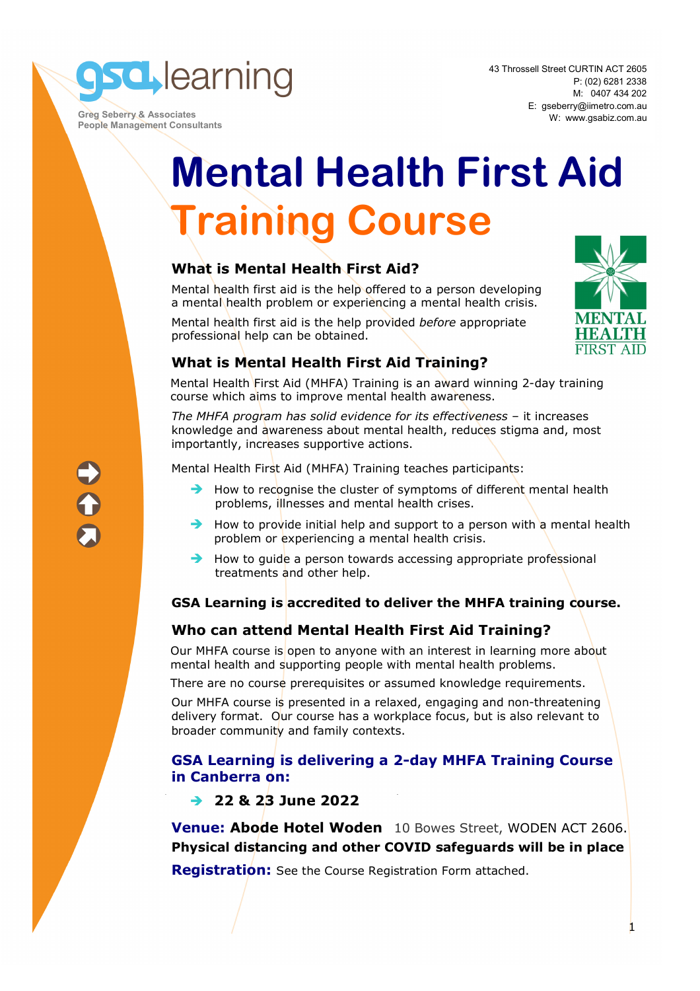**sd** learning

 **Greg Seberry & Associates People Management Consultants**  43 Throssell Street CURTIN ACT 2605 P: (02) 6281 2338 M: 0407 434 202 E: gseberry@iimetro.com.au W: www.gsabiz.com.au

# **Mental Health First Aid Training Course**

# **What is Mental Health First Aid?**

Mental health first aid is the help offered to a person developing a mental health problem or experiencing a mental health crisis.

Mental health first aid is the help provided *before* appropriate professional help can be obtained.



# **What is Mental Health First Aid Training?**

Mental Health First Aid (MHFA) Training is an award winning 2-day training course which aims to improve mental health awareness.

*The MHFA program has solid evidence for its effectiveness* – it increases knowledge and awareness about mental health, reduces stigma and, most importantly, increases supportive actions.

Mental Health First Aid (MHFA) Training teaches participants:

- $\rightarrow$  How to recognise the cluster of symptoms of different mental health problems, illnesses and mental health crises.
- $\rightarrow$  How to provide initial help and support to a person with a mental health problem or experiencing a mental health crisis.
- $\rightarrow$  How to quide a person towards accessing appropriate professional treatments and other help.

# **GSA Learning is accredited to deliver the MHFA training course.**

# **Who can attend Mental Health First Aid Training?**

Our MHFA course is open to anyone with an interest in learning more about mental health and supporting people with mental health problems.

There are no course prerequisites or assumed knowledge requirements.

Our MHFA course is presented in a relaxed, engaging and non-threatening delivery format. Our course has a workplace focus, but is also relevant to broader community and family contexts.

### **GSA Learning is delivering a 2-day MHFA Training Course in Canberra on:**

# **22 & 23 June 2022**

**Venue: Abode Hotel Woden** 10 Bowes Street, WODEN ACT 2606. **Physical distancing and other COVID safeguards will be in place** 

**Registration:** See the Course Registration Form attached.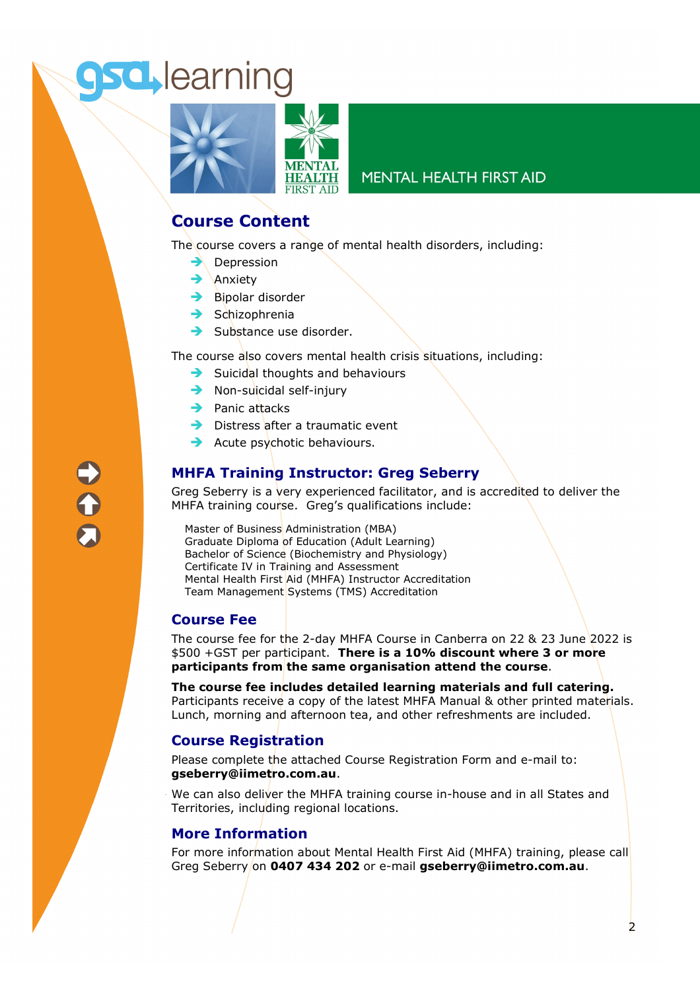# **sd** learning



### **MENTAL HEALTH FIRST AID**

# **Course Content**

The course covers a range of mental health disorders, including:

- $\rightarrow$  Depression
- $\rightarrow$  Anxiety
- $\rightarrow$  Bipolar disorder
- $\rightarrow$  Schizophrenia
- $\rightarrow$  Substance use disorder.

The course also covers mental health crisis situations, including:

- $\rightarrow$  Suicidal thoughts and behaviours
- $\rightarrow$  Non-suicidal self-injury
- $\rightarrow$  Panic attacks
- $\rightarrow$  Distress after a traumatic event
- $\rightarrow$  Acute psychotic behaviours.

# **MHFA Training Instructor: Greg Seberry**

Greg Seberry is a very experienced facilitator, and is accredited to deliver the MHFA training course. Greg's qualifications include:

Master of Business Administration (MBA) Graduate Diploma of Education (Adult Learning) Bachelor of Science (Biochemistry and Physiology) Certificate IV in Training and Assessment Mental Health First Aid (MHFA) Instructor Accreditation Team Management Systems (TMS) Accreditation

### **Course Fee**

The course fee for the 2-day MHFA Course in Canberra on 22 & 23 June 2022 is \$500 +GST per participant. **There is a 10% discount where 3 or more participants from the same organisation attend the course**.

**The course fee includes detailed learning materials and full catering.**  Participants receive a copy of the latest MHFA Manual & other printed materials. Lunch, morning and afternoon tea, and other refreshments are included.

### **Course Registration**

Please complete the attached Course Registration Form and e-mail to: **gseberry@iimetro.com.au**.

We can also deliver the MHFA training course in-house and in all States and Territories, including regional locations.

### **More Information**

For more information about Mental Health First Aid (MHFA) training, please call Greg Seberry on **0407 434 202** or e-mail **gseberry@iimetro.com.au**.